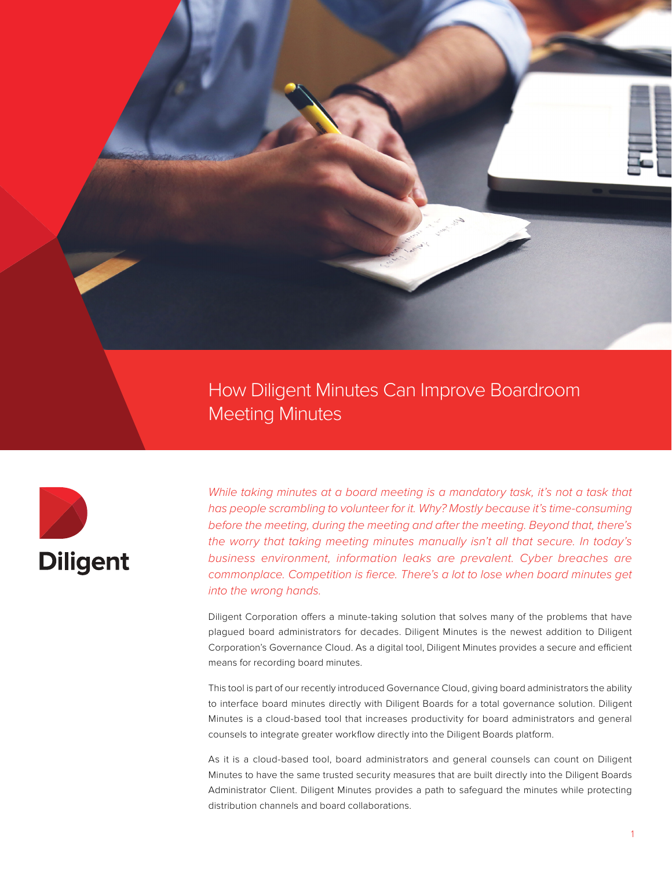How Diligent Minutes Can Improve Boardroom Meeting Minutes



*While taking minutes at a board meeting is a mandatory task, it's not a task that has people scrambling to volunteer for it. Why? Mostly because it's time-consuming before the meeting, during the meeting and after the meeting. Beyond that, there's the worry that taking meeting minutes manually isn't all that secure. In today's business environment, information leaks are prevalent. Cyber breaches are commonplace. Competition is fierce. There's a lot to lose when board minutes get into the wrong hands.*

Diligent Corporation offers a minute-taking solution that solves many of the problems that have plagued board administrators for decades. Diligent Minutes is the newest addition to Diligent Corporation's Governance Cloud. As a digital tool, Diligent Minutes provides a secure and efficient means for recording board minutes.

This tool is part of our recently introduced Governance Cloud, giving board administrators the ability to interface board minutes directly with Diligent Boards for a total governance solution. Diligent Minutes is a cloud-based tool that increases productivity for board administrators and general counsels to integrate greater workflow directly into the Diligent Boards platform.

As it is a cloud-based tool, board administrators and general counsels can count on Diligent Minutes to have the same trusted security measures that are built directly into the Diligent Boards Administrator Client. Diligent Minutes provides a path to safeguard the minutes while protecting distribution channels and board collaborations.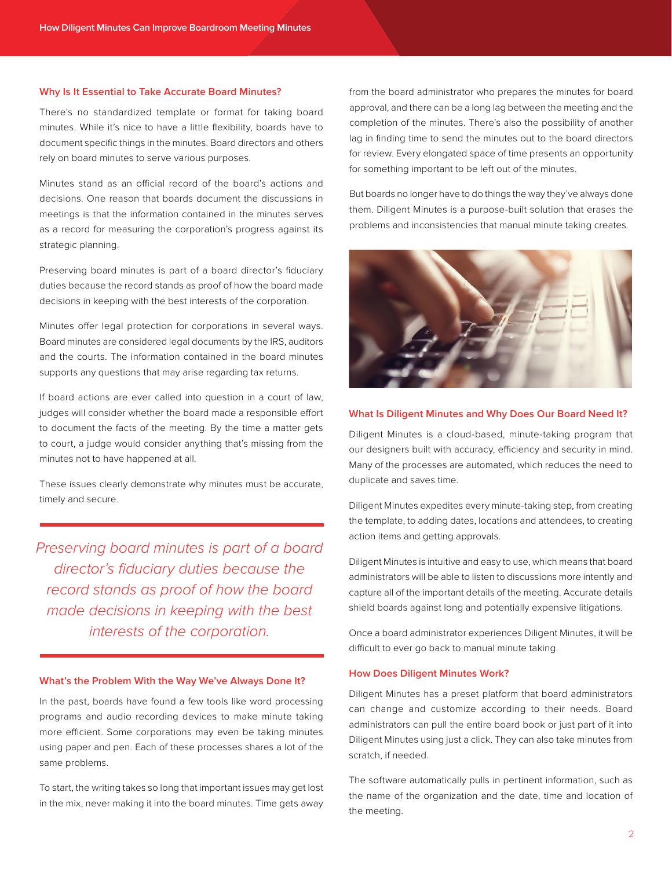#### **Why Is It Essential to Take Accurate Board Minutes?**

There's no standardized template or format for taking board minutes. While it's nice to have a little flexibility, boards have to document specific things in the minutes. Board directors and others rely on board minutes to serve various purposes.

Minutes stand as an official record of the board's actions and decisions. One reason that boards document the discussions in meetings is that the information contained in the minutes serves as a record for measuring the corporation's progress against its strategic planning.

Preserving board minutes is part of a board director's fiduciary duties because the record stands as proof of how the board made decisions in keeping with the best interests of the corporation.

Minutes offer legal protection for corporations in several ways. Board minutes are considered legal documents by the IRS, auditors and the courts. The information contained in the board minutes supports any questions that may arise regarding tax returns.

If board actions are ever called into question in a court of law, judges will consider whether the board made a responsible effort to document the facts of the meeting. By the time a matter gets to court, a judge would consider anything that's missing from the minutes not to have happened at all.

These issues clearly demonstrate why minutes must be accurate, timely and secure.

*Preserving board minutes is part of a board director's fiduciary duties because the record stands as proof of how the board made decisions in keeping with the best interests of the corporation.*

## **What's the Problem With the Way We've Always Done It?**

In the past, boards have found a few tools like word processing programs and audio recording devices to make minute taking more efficient. Some corporations may even be taking minutes using paper and pen. Each of these processes shares a lot of the same problems.

To start, the writing takes so long that important issues may get lost in the mix, never making it into the board minutes. Time gets away from the board administrator who prepares the minutes for board approval, and there can be a long lag between the meeting and the completion of the minutes. There's also the possibility of another lag in finding time to send the minutes out to the board directors for review. Every elongated space of time presents an opportunity for something important to be left out of the minutes.

But boards no longer have to do things the way they've always done them. Diligent Minutes is a purpose-built solution that erases the problems and inconsistencies that manual minute taking creates.



### **What Is Diligent Minutes and Why Does Our Board Need It?**

Diligent Minutes is a cloud-based, minute-taking program that our designers built with accuracy, efficiency and security in mind. Many of the processes are automated, which reduces the need to duplicate and saves time.

Diligent Minutes expedites every minute-taking step, from creating the template, to adding dates, locations and attendees, to creating action items and getting approvals.

Diligent Minutes is intuitive and easy to use, which means that board administrators will be able to listen to discussions more intently and capture all of the important details of the meeting. Accurate details shield boards against long and potentially expensive litigations.

Once a board administrator experiences Diligent Minutes, it will be difficult to ever go back to manual minute taking.

## **How Does Diligent Minutes Work?**

Diligent Minutes has a preset platform that board administrators can change and customize according to their needs. Board administrators can pull the entire board book or just part of it into Diligent Minutes using just a click. They can also take minutes from scratch, if needed.

The software automatically pulls in pertinent information, such as the name of the organization and the date, time and location of the meeting.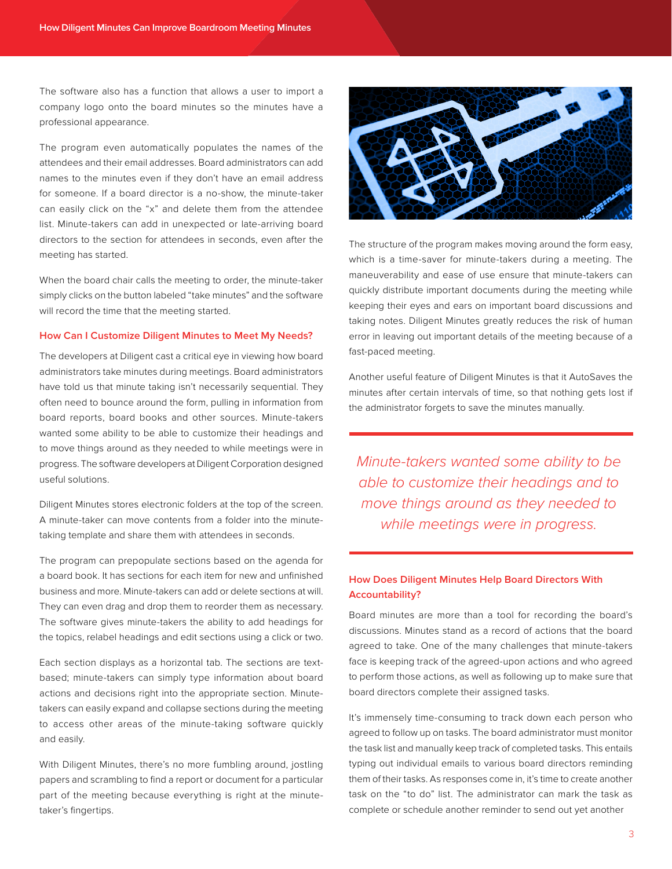The software also has a function that allows a user to import a company logo onto the board minutes so the minutes have a professional appearance.

The program even automatically populates the names of the attendees and their email addresses. Board administrators can add names to the minutes even if they don't have an email address for someone. If a board director is a no-show, the minute-taker can easily click on the "x" and delete them from the attendee list. Minute-takers can add in unexpected or late-arriving board directors to the section for attendees in seconds, even after the meeting has started.

When the board chair calls the meeting to order, the minute-taker simply clicks on the button labeled "take minutes" and the software will record the time that the meeting started.

## **How Can I Customize Diligent Minutes to Meet My Needs?**

The developers at Diligent cast a critical eye in viewing how board administrators take minutes during meetings. Board administrators have told us that minute taking isn't necessarily sequential. They often need to bounce around the form, pulling in information from board reports, board books and other sources. Minute-takers wanted some ability to be able to customize their headings and to move things around as they needed to while meetings were in progress. The software developers at Diligent Corporation designed useful solutions.

Diligent Minutes stores electronic folders at the top of the screen. A minute-taker can move contents from a folder into the minutetaking template and share them with attendees in seconds.

The program can prepopulate sections based on the agenda for a board book. It has sections for each item for new and unfinished business and more. Minute-takers can add or delete sections at will. They can even drag and drop them to reorder them as necessary. The software gives minute-takers the ability to add headings for the topics, relabel headings and edit sections using a click or two.

Each section displays as a horizontal tab. The sections are textbased; minute-takers can simply type information about board actions and decisions right into the appropriate section. Minutetakers can easily expand and collapse sections during the meeting to access other areas of the minute-taking software quickly and easily.

With Diligent Minutes, there's no more fumbling around, jostling papers and scrambling to find a report or document for a particular part of the meeting because everything is right at the minutetaker's fingertips.



The structure of the program makes moving around the form easy, which is a time-saver for minute-takers during a meeting. The maneuverability and ease of use ensure that minute-takers can quickly distribute important documents during the meeting while keeping their eyes and ears on important board discussions and taking notes. Diligent Minutes greatly reduces the risk of human error in leaving out important details of the meeting because of a fast-paced meeting.

Another useful feature of Diligent Minutes is that it AutoSaves the minutes after certain intervals of time, so that nothing gets lost if the administrator forgets to save the minutes manually.

*Minute-takers wanted some ability to be able to customize their headings and to move things around as they needed to while meetings were in progress.*

# **How Does Diligent Minutes Help Board Directors With Accountability?**

Board minutes are more than a tool for recording the board's discussions. Minutes stand as a record of actions that the board agreed to take. One of the many challenges that minute-takers face is keeping track of the agreed-upon actions and who agreed to perform those actions, as well as following up to make sure that board directors complete their assigned tasks.

It's immensely time-consuming to track down each person who agreed to follow up on tasks. The board administrator must monitor the task list and manually keep track of completed tasks. This entails typing out individual emails to various board directors reminding them of their tasks. As responses come in, it's time to create another task on the "to do" list. The administrator can mark the task as complete or schedule another reminder to send out yet another